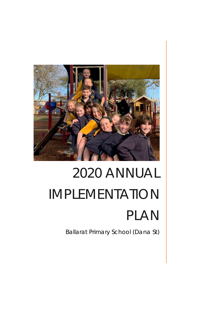

# 2020 ANNUAL IMPLEMENTATION PLAN

Ballarat Primary School (Dana St)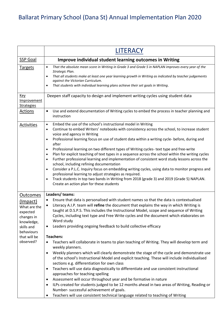| <b>LITERACY</b>                                                                                                                                                                                                                                                                                                                                                                                                                                                                                                                                                                                                                                                                                                                                                                                                                                                                                                                                                                                                                                                                                                                                                                                                                                           |
|-----------------------------------------------------------------------------------------------------------------------------------------------------------------------------------------------------------------------------------------------------------------------------------------------------------------------------------------------------------------------------------------------------------------------------------------------------------------------------------------------------------------------------------------------------------------------------------------------------------------------------------------------------------------------------------------------------------------------------------------------------------------------------------------------------------------------------------------------------------------------------------------------------------------------------------------------------------------------------------------------------------------------------------------------------------------------------------------------------------------------------------------------------------------------------------------------------------------------------------------------------------|
| Improve individual student learning outcomes in Writing                                                                                                                                                                                                                                                                                                                                                                                                                                                                                                                                                                                                                                                                                                                                                                                                                                                                                                                                                                                                                                                                                                                                                                                                   |
| That the absolute mean score in Writing in Grade 3 and Grade 5 in NAPLAN improves every year of the<br>$\bullet$<br>Strategic Plan.<br>That all students make at least one year learning growth in Writing as indicated by teacher judgements<br>$\bullet$<br>against the Victorian Curriculum.<br>That students with individual learning plans achieve their set goals in Writing.<br>$\bullet$                                                                                                                                                                                                                                                                                                                                                                                                                                                                                                                                                                                                                                                                                                                                                                                                                                                          |
| Deepen staff capacity to design and implement writing cycles using student data                                                                                                                                                                                                                                                                                                                                                                                                                                                                                                                                                                                                                                                                                                                                                                                                                                                                                                                                                                                                                                                                                                                                                                           |
| Use and extend documentation of Writing cycles to embed the process in teacher planning and<br>$\bullet$<br>instruction                                                                                                                                                                                                                                                                                                                                                                                                                                                                                                                                                                                                                                                                                                                                                                                                                                                                                                                                                                                                                                                                                                                                   |
| Embed the use of the school's instructional model in Writing<br>$\bullet$<br>Continue to embed Writers' notebooks with consistency across the school, to increase student<br>$\bullet$<br>voice and agency in Writing<br>Professional learning focus on use of student data within a writing cycle- before, during and<br>$\bullet$<br>after<br>Professional learning on two different types of Writing cycles- text type and free-write<br>٠<br>Plan for explicit teaching of text types in a sequence across the school within the writing cycles<br>$\bullet$<br>Further professional learning and implementation of consistent word study lessons across the<br>$\bullet$<br>school, including refining documentation<br>Consider a P.L.C. Inquiry focus on embedding writing cycles, using data to monitor progress and<br>$\bullet$<br>professional learning to adjust strategies as required.<br>Track students in top two bands in Writing from 2018 (grade 3) and 2019 (Grade 5) NAPLAN.<br>$\bullet$<br>Create an action plan for these students                                                                                                                                                                                                |
| Leaders/teams:<br>Ensure that data is personalised with student names so that the data is contextualised<br>Literacy A.I.P. team will refine the document that explains the way in which Writing is<br>taught at D.S.P.S. This includes the Instructional Model, scope and sequence of Writing<br>Cycles, including text type and Free Write cycles and the document which elaborates on<br>Word study<br>Leaders providing ongoing feedback to build collective efficacy<br>٠<br><b>Teachers:</b><br>Teachers will collaborate in teams to plan teaching of Writing. They will develop term and<br>weekly planners.<br>Weekly planners which will clearly demonstrate the stage of the cycle and demonstrate use<br>$\bullet$<br>of the school's Instructional Model and explicit teaching. These will include individualised<br>sections e.g. differentiation for own class<br>Teachers will use data diagnostically to differentiate and use consistent instructional<br>$\bullet$<br>approaches for teaching spelling<br>Assessment will occur throughout year and be formative in nature<br>٠<br>ILPs created for students judged to be 12 months ahead in two areas of Writing, Reading or<br>$\bullet$<br>Number- successful achievement of goals. |
|                                                                                                                                                                                                                                                                                                                                                                                                                                                                                                                                                                                                                                                                                                                                                                                                                                                                                                                                                                                                                                                                                                                                                                                                                                                           |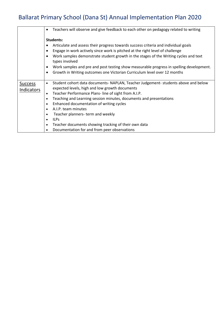|                                     | Teachers will observe and give feedback to each other on pedagogy related to writing<br>٠                                                                                                                             |
|-------------------------------------|-----------------------------------------------------------------------------------------------------------------------------------------------------------------------------------------------------------------------|
|                                     | Students:                                                                                                                                                                                                             |
|                                     | Articulate and assess their progress towards success criteria and individual goals                                                                                                                                    |
|                                     | Engage in work actively since work is pitched at the right level of challenge<br>٠                                                                                                                                    |
|                                     | Work samples demonstrate student growth in the stages of the Writing cycles and text<br>types involved                                                                                                                |
|                                     | Work samples and pre and post testing show measurable progress in spelling development.                                                                                                                               |
|                                     | Growth in Writing outcomes one Victorian Curriculum level over 12 months<br>٠                                                                                                                                         |
|                                     |                                                                                                                                                                                                                       |
| <b>Success</b><br><b>Indicators</b> | Student cohort data documents- NAPLAN, Teacher Judgement- students above and below<br>$\bullet$<br>expected levels, high and low growth documents<br>Teacher Performance Plans-line of sight from A.I.P.<br>$\bullet$ |
|                                     | Teaching and Learning session minutes, documents and presentations<br>٠                                                                                                                                               |
|                                     | Enhanced documentation of writing cycles<br>٠                                                                                                                                                                         |
|                                     | A.I.P. team minutes<br>$\bullet$                                                                                                                                                                                      |
|                                     | Teacher planners- term and weekly                                                                                                                                                                                     |
|                                     | <b>ILPS</b><br>$\bullet$                                                                                                                                                                                              |
|                                     | Teacher documents showing tracking of their own data<br>$\bullet$                                                                                                                                                     |
|                                     | Documentation for and from peer observations                                                                                                                                                                          |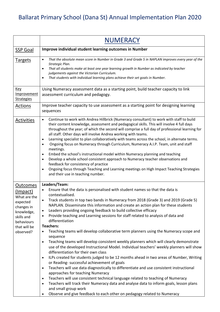|                                                                                                                                              | <b>NUMERACY</b>                                                                                                                                                                                                                                                                                                                                                                                                                                                                                                                                                                                                                                                                                                                                                                                                                                                                                                                                                                                                                                                                                                                                                                                                                                                                                                                                                                                                                                                |
|----------------------------------------------------------------------------------------------------------------------------------------------|----------------------------------------------------------------------------------------------------------------------------------------------------------------------------------------------------------------------------------------------------------------------------------------------------------------------------------------------------------------------------------------------------------------------------------------------------------------------------------------------------------------------------------------------------------------------------------------------------------------------------------------------------------------------------------------------------------------------------------------------------------------------------------------------------------------------------------------------------------------------------------------------------------------------------------------------------------------------------------------------------------------------------------------------------------------------------------------------------------------------------------------------------------------------------------------------------------------------------------------------------------------------------------------------------------------------------------------------------------------------------------------------------------------------------------------------------------------|
| <b>SSP Goal</b>                                                                                                                              | Improve individual student learning outcomes in Number                                                                                                                                                                                                                                                                                                                                                                                                                                                                                                                                                                                                                                                                                                                                                                                                                                                                                                                                                                                                                                                                                                                                                                                                                                                                                                                                                                                                         |
| <b>Targets</b>                                                                                                                               | That the absolute mean score in Number in Grade 3 and Grade 5 in NAPLAN improves every year of the<br>$\bullet$<br>Strategic Plan.<br>That all students make at least one year learning growth in Number as indicated by teacher<br>$\bullet$<br>judgements against the Victorian Curriculum.<br>That students with individual learning plans achieve their set goals in Number.<br>٠                                                                                                                                                                                                                                                                                                                                                                                                                                                                                                                                                                                                                                                                                                                                                                                                                                                                                                                                                                                                                                                                          |
| <u>Key</u><br>Improvement<br><b>Strategies</b>                                                                                               | Using Numeracy assessment data as a starting point, build teacher capacity to link<br>assessment curriculum and pedagogy.                                                                                                                                                                                                                                                                                                                                                                                                                                                                                                                                                                                                                                                                                                                                                                                                                                                                                                                                                                                                                                                                                                                                                                                                                                                                                                                                      |
| <b>Actions</b>                                                                                                                               | Improve teacher capacity to use assessment as a starting point for designing learning<br>sequences                                                                                                                                                                                                                                                                                                                                                                                                                                                                                                                                                                                                                                                                                                                                                                                                                                                                                                                                                                                                                                                                                                                                                                                                                                                                                                                                                             |
| <b>Activities</b>                                                                                                                            | Continue to work with Andrea Hillbrick (Numeracy consultant) to work with staff to build<br>$\bullet$<br>their content knowledge, assessment and pedagogical skills. This will involve 4 full days<br>throughout the year; of which the second will comprise a full day of professional learning for<br>all staff. Other days will involve Andrea working with teams.<br>Learning specialist to plan collaboratively with teams across the school, in alternate terms.<br>$\bullet$<br>Ongoing focus on Numeracy through Curriculum, Numeracy A.I.P. Team, unit and staff<br>$\bullet$<br>meetings.<br>Embed the school's instructional model within Numeracy planning and teaching<br>٠<br>Develop a whole school consistent approach to Numeracy teacher observations and<br>$\bullet$<br>feedback for consistency of practice<br>Ongoing focus through Teaching and Learning meetings on High Impact Teaching Strategies<br>$\bullet$<br>and their use in teaching number.                                                                                                                                                                                                                                                                                                                                                                                                                                                                                  |
| <b>Outcomes</b><br>(Impact)<br>What are the<br>expected<br>changes in<br>knowledge,<br>skills and<br>behaviours<br>that will be<br>observed? | Leaders/Team:<br>Ensure that the data is personalised with student names so that the data is<br>contextualised.<br>Track students in top two bands in Numeracy from 2018 (Grade 3) and 2019 (Grade 5)<br>NAPLAN. Disseminate this information and create an action plan for these students<br>Leaders providing ongoing feedback to build collective efficacy<br>$\bullet$<br>Provide teaching and Learning sessions for staff related to analysis of data and<br>differentiation<br><b>Teachers:</b><br>Teaching teams will develop collaborative term planners using the Numeracy scope and<br>sequence<br>Teaching teams will develop consistent weekly planners which will clearly demonstrate<br>$\bullet$<br>use of the developed Instructional Model. Individual teachers' weekly planners will show<br>differentiation for their own class<br>ILPs created for students judged to be 12 months ahead in two areas of Number, Writing<br>$\bullet$<br>or Reading- successful achievement of goals<br>Teachers will use data diagnostically to differentiate and use consistent instructional<br>$\bullet$<br>approaches for teaching Numeracy<br>Teachers will use consistent technical language related to teaching of Numeracy<br>$\bullet$<br>Teachers will track their Numeracy data and analyse data to inform goals, lesson plans<br>$\bullet$<br>and small group work<br>Observe and give feedback to each other on pedagogy related to Numeracy |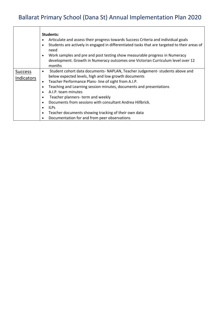|                              | Students:<br>Articulate and assess their progress towards Success Criteria and individual goals<br>٠<br>Students are actively in engaged in differentiated tasks that are targeted to their areas of<br>٠<br>need<br>Work samples and pre and post testing show measurable progress in Numeracy<br>$\bullet$<br>development. Growth in Numeracy outcomes one Victorian Curriculum level over 12<br>months                                                                                                                                                                                       |
|------------------------------|-------------------------------------------------------------------------------------------------------------------------------------------------------------------------------------------------------------------------------------------------------------------------------------------------------------------------------------------------------------------------------------------------------------------------------------------------------------------------------------------------------------------------------------------------------------------------------------------------|
| <b>Success</b><br>Indicators | Student cohort data documents- NAPLAN, Teacher Judgement- students above and<br>$\bullet$<br>below expected levels, high and low growth documents<br>Teacher Performance Plans- line of sight from A.I.P.<br>٠<br>Teaching and Learning session minutes, documents and presentations<br>$\bullet$<br>A.I.P. team minutes<br>٠<br>Teacher planners- term and weekly<br>٠<br>Documents from sessions with consultant Andrea Hillbrick.<br>٠<br><b>ILPS</b><br>$\bullet$<br>Teacher documents showing tracking of their own data<br>$\bullet$<br>Documentation for and from peer observations<br>٠ |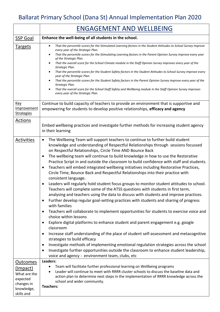|                                                                                            | <b>ENGAGEMENT AND WELLBEING</b>                                                                                                                                                                                                                                                                                                                                                                                                                                                                                                                                                                                                                                                                                                                                                                                                                                                                                                                                                                                                                                                                                                                                                                                                                                                                                                                                                                                                                                                                                                                                                                                                                                                                                  |
|--------------------------------------------------------------------------------------------|------------------------------------------------------------------------------------------------------------------------------------------------------------------------------------------------------------------------------------------------------------------------------------------------------------------------------------------------------------------------------------------------------------------------------------------------------------------------------------------------------------------------------------------------------------------------------------------------------------------------------------------------------------------------------------------------------------------------------------------------------------------------------------------------------------------------------------------------------------------------------------------------------------------------------------------------------------------------------------------------------------------------------------------------------------------------------------------------------------------------------------------------------------------------------------------------------------------------------------------------------------------------------------------------------------------------------------------------------------------------------------------------------------------------------------------------------------------------------------------------------------------------------------------------------------------------------------------------------------------------------------------------------------------------------------------------------------------|
| <b>SSP Goal</b>                                                                            | Enhance the well-being of all students in the school.                                                                                                                                                                                                                                                                                                                                                                                                                                                                                                                                                                                                                                                                                                                                                                                                                                                                                                                                                                                                                                                                                                                                                                                                                                                                                                                                                                                                                                                                                                                                                                                                                                                            |
| Targets                                                                                    | That the percentile scores for the Stimulated Learning factors in the Student Attitudes to School Survey improve<br>every year of the Strategic Plan.<br>That the percentile scores for the Stimulating Learning factors in the Parent Opinion Survey improve every year<br>of the Strategic Plan.<br>That the overall score for the School Climate module in the Staff Opinion Survey improves every year of the<br>$\bullet$<br>Strategic Plan.<br>That the percentile scores for the Student Safety factors in the Student Attitudes to School Survey improve every<br>$\bullet$<br>year of the Strategic Plan.<br>That the percentile scores for the Student Safety factors in the Parent Opinion Survey improve every year of the<br>Strategic Plan.<br>That the overall score for the School Staff Safety and Wellbeing module in the Staff Opinion Survey improves<br>٠<br>every year of the Strategic Plan.                                                                                                                                                                                                                                                                                                                                                                                                                                                                                                                                                                                                                                                                                                                                                                                              |
| <u>Key</u><br><b>Improvement</b><br><b>Strategies</b>                                      | Continue to build capacity of teachers to provide an environment that is supportive and<br>empowering for students to develop positive relationships, efficacy and agency                                                                                                                                                                                                                                                                                                                                                                                                                                                                                                                                                                                                                                                                                                                                                                                                                                                                                                                                                                                                                                                                                                                                                                                                                                                                                                                                                                                                                                                                                                                                        |
| <b>Actions</b>                                                                             | Embed wellbeing practices and investigate further methods for increasing student agency<br>in their learning                                                                                                                                                                                                                                                                                                                                                                                                                                                                                                                                                                                                                                                                                                                                                                                                                                                                                                                                                                                                                                                                                                                                                                                                                                                                                                                                                                                                                                                                                                                                                                                                     |
| <b>Activities</b>                                                                          | The Wellbeing Team will support teachers to continue to further build student<br>$\bullet$<br>knowledge and understanding of Respectful Relationships through sessions focussed<br>on Respectful Relationships, Circle Time AND Bounce Back<br>The wellbeing team will continue to build knowledge in how to use the Restorative<br>$\bullet$<br>Practice Script in and outside the classroom to build confidence with staff and students.<br>Teachers will embed integrated wellbeing initiatives including Restorative Practices,<br>$\bullet$<br>Circle Time, Bounce Back and Respectful Relationships into their practice with<br>consistent language.<br>Leaders will regularly hold student focus groups to monitor student attitudes to school.<br>٠<br>Teachers will complete some of the ATSS questions with students in first term,<br>analysing and teachers using the data to discuss with students and improve practices.<br>Further develop regular goal-setting practices with students and sharing of progress<br>$\bullet$<br>with families<br>Teachers will collaborate to implement opportunities for students to exercise voice and<br>$\bullet$<br>choice within lessons<br>Explore digital platforms to enhance student and parent engagement e.g. google<br>$\bullet$<br>classroom<br>Increase staff understanding of the place of student self-assessment and metacognitive<br>$\bullet$<br>strategies to build efficacy<br>Investigate methods of implementing emotional regulation strategies across the school<br>$\bullet$<br>Investigate further opportunities outside the classroom to enhance student leadership,<br>$\bullet$<br>voice and agency - environment team, clubs, etc |
| Outcomes<br>(Impact)<br>What are the<br>expected<br>changes in<br>knowledge,<br>skills and | Leaders:<br>Team will facilitate further professional learning on Wellbeing programs<br>Leader will continue to meet with RRRR cluster schools to discuss the baseline data and<br>action plan to determine next steps in the implementation of RRRR knowledge across the<br>school and wider community.<br><b>Teachers:</b>                                                                                                                                                                                                                                                                                                                                                                                                                                                                                                                                                                                                                                                                                                                                                                                                                                                                                                                                                                                                                                                                                                                                                                                                                                                                                                                                                                                     |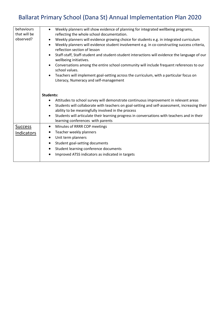| behaviours<br>that will be<br>observed? | Weekly planners will show evidence of planning for integrated wellbeing programs,<br>$\bullet$<br>reflecting the whole school documentation.<br>Weekly planners will evidence growing choice for students e.g. in integrated curriculum<br>Weekly planners will evidence student involvement e.g. in co-constructing success criteria,<br>$\bullet$<br>reflection section of lesson<br>Staff-staff, Staff-student and student-student interactions will evidence the language of our<br>wellbeing initiatives.<br>Conversations among the entire school community will include frequent references to our<br>school values.<br>Teachers will implement goal-setting across the curriculum, with a particular focus on<br>Literacy, Numeracy and self-management |
|-----------------------------------------|-----------------------------------------------------------------------------------------------------------------------------------------------------------------------------------------------------------------------------------------------------------------------------------------------------------------------------------------------------------------------------------------------------------------------------------------------------------------------------------------------------------------------------------------------------------------------------------------------------------------------------------------------------------------------------------------------------------------------------------------------------------------|
|                                         | Students:                                                                                                                                                                                                                                                                                                                                                                                                                                                                                                                                                                                                                                                                                                                                                       |
|                                         | Attitudes to school survey will demonstrate continuous improvement in relevant areas<br>Students will collaborate with teachers on goal-setting and self-assessment, increasing their<br>$\bullet$<br>ability to be meaningfully involved in the process<br>Students will articulate their learning progress in conversations with teachers and in their<br>$\bullet$<br>learning conferences with parents                                                                                                                                                                                                                                                                                                                                                      |
| <b>Success</b>                          | Minutes of RRRR COP meetings<br>$\bullet$                                                                                                                                                                                                                                                                                                                                                                                                                                                                                                                                                                                                                                                                                                                       |
| Indicators                              | Teacher weekly planners<br>$\bullet$                                                                                                                                                                                                                                                                                                                                                                                                                                                                                                                                                                                                                                                                                                                            |
|                                         | Unit term planners<br>$\bullet$                                                                                                                                                                                                                                                                                                                                                                                                                                                                                                                                                                                                                                                                                                                                 |
|                                         | Student goal-setting documents<br>$\bullet$                                                                                                                                                                                                                                                                                                                                                                                                                                                                                                                                                                                                                                                                                                                     |
|                                         | Student learning conference documents<br>$\bullet$                                                                                                                                                                                                                                                                                                                                                                                                                                                                                                                                                                                                                                                                                                              |
|                                         |                                                                                                                                                                                                                                                                                                                                                                                                                                                                                                                                                                                                                                                                                                                                                                 |
|                                         | Improved ATSS indicators as indicated in targets                                                                                                                                                                                                                                                                                                                                                                                                                                                                                                                                                                                                                                                                                                                |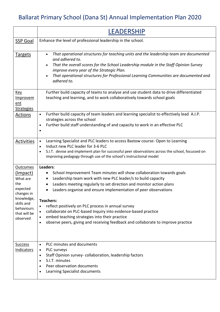|                                                                                                                                                | <b>LEADERSHIP</b>                                                                                                                                                                                                                                                                                                                                                                                                                                                                                                                                                                                                                                         |
|------------------------------------------------------------------------------------------------------------------------------------------------|-----------------------------------------------------------------------------------------------------------------------------------------------------------------------------------------------------------------------------------------------------------------------------------------------------------------------------------------------------------------------------------------------------------------------------------------------------------------------------------------------------------------------------------------------------------------------------------------------------------------------------------------------------------|
| <b>SSP Goal</b>                                                                                                                                | Enhance the level of professional leadership in the school.                                                                                                                                                                                                                                                                                                                                                                                                                                                                                                                                                                                               |
| <b>Targets</b>                                                                                                                                 | That operational structures for teaching units and the leadership team are documented<br>$\bullet$<br>and adhered to.<br>That the overall scores for the School Leadership module in the Staff Opinion Survey<br>$\bullet$<br>improve every year of the Strategic Plan.<br>That operational structures for Professional Learning Communities are documented and<br>$\bullet$<br>adhered to.                                                                                                                                                                                                                                                               |
| <u>Key</u><br><b>Improvem</b><br>ent<br><b>Strategies</b>                                                                                      | Further build capacity of teams to analyse and use student data to drive differentiated<br>teaching and learning, and to work collaboratively towards school goals                                                                                                                                                                                                                                                                                                                                                                                                                                                                                        |
| Actions                                                                                                                                        | Further build capacity of team leaders and learning specialist to effectively lead A.I.P.<br>$\bullet$<br>strategies across the school<br>Further build staff understanding of and capacity to work in an effective PLC<br>$\bullet$                                                                                                                                                                                                                                                                                                                                                                                                                      |
| <b>Activities</b>                                                                                                                              | Learning Specialist and PLC leaders to access Bastow course-Open to Learning<br>$\bullet$<br>Induct new PLC leader for 3-6 PLC<br>$\bullet$<br>S.I.T. devise and implement plan for successful peer observations across the school, focussed on<br>$\bullet$<br>improving pedagogy through use of the school's Instructional model                                                                                                                                                                                                                                                                                                                        |
| <b>Outcomes</b><br>(Impact)<br>What are<br>the<br>expected<br>changes in<br>knowledge,<br>skills and<br>behaviours<br>that will be<br>observed | Leaders:<br>School Improvement Team minutes will show collaboration towards goals<br>$\bullet$<br>Leadership team work with new PLC leader/s to build capacity<br>$\bullet$<br>Leaders meeting regularly to set direction and monitor action plans<br>Leaders organise and ensure implementation of peer observations<br>$\bullet$<br><b>Teachers:</b><br>reflect positively on PLC process in annual survey<br>$\bullet$<br>collaborate on PLC-based Inquiry into evidence-based practice<br>$\bullet$<br>embed teaching strategies into their practice<br>$\bullet$<br>observe peers, giving and receiving feedback and collaborate to improve practice |
| <b>Success</b><br><b>Indicators</b>                                                                                                            | PLC minutes and documents<br>$\bullet$<br>PLC surveys<br>$\bullet$<br>Staff Opinion survey-collaboration, leadership factors<br>$\bullet$<br>S.I.T. minutes<br>$\bullet$<br>Peer observation documents<br>Learning Specialist documents                                                                                                                                                                                                                                                                                                                                                                                                                   |